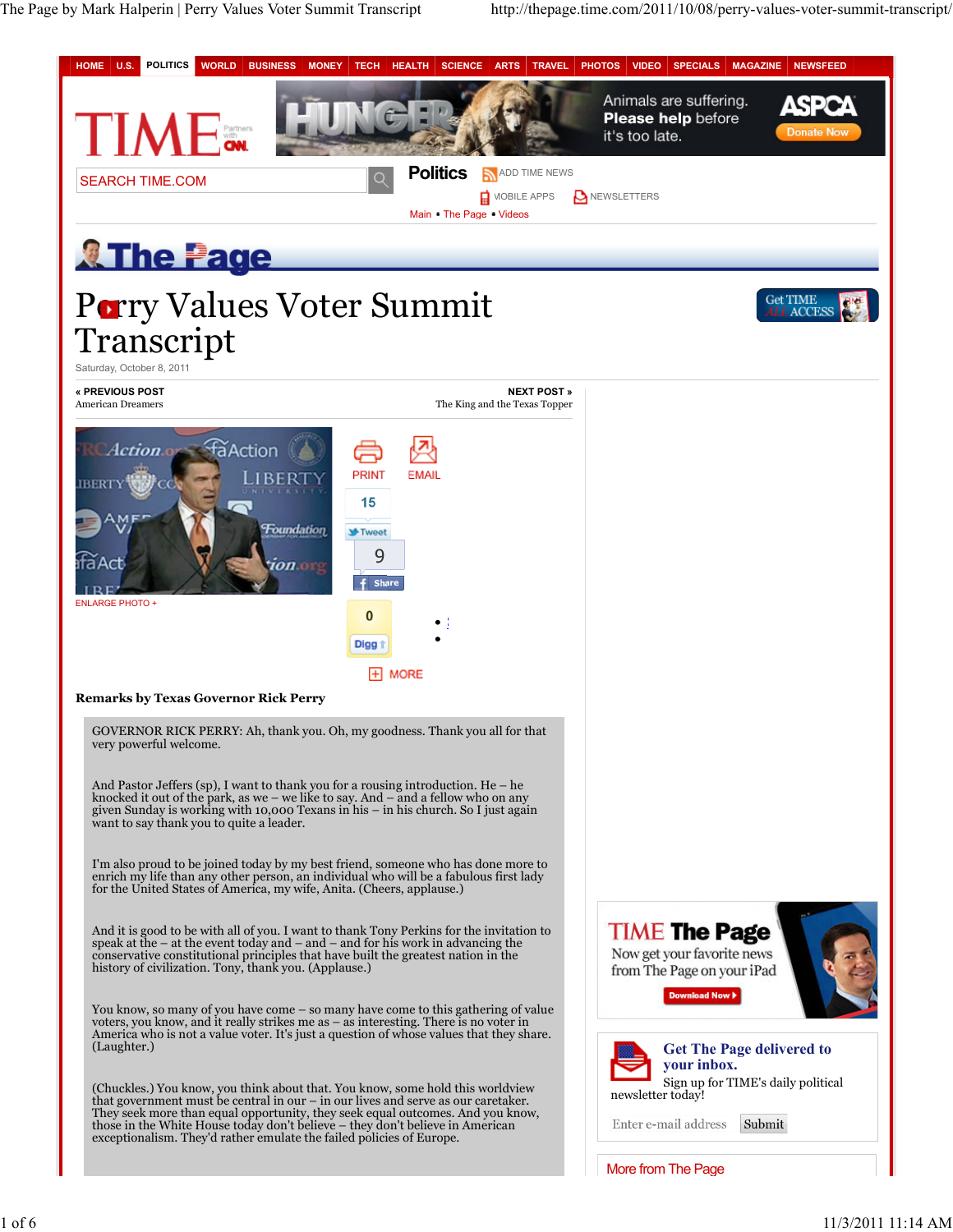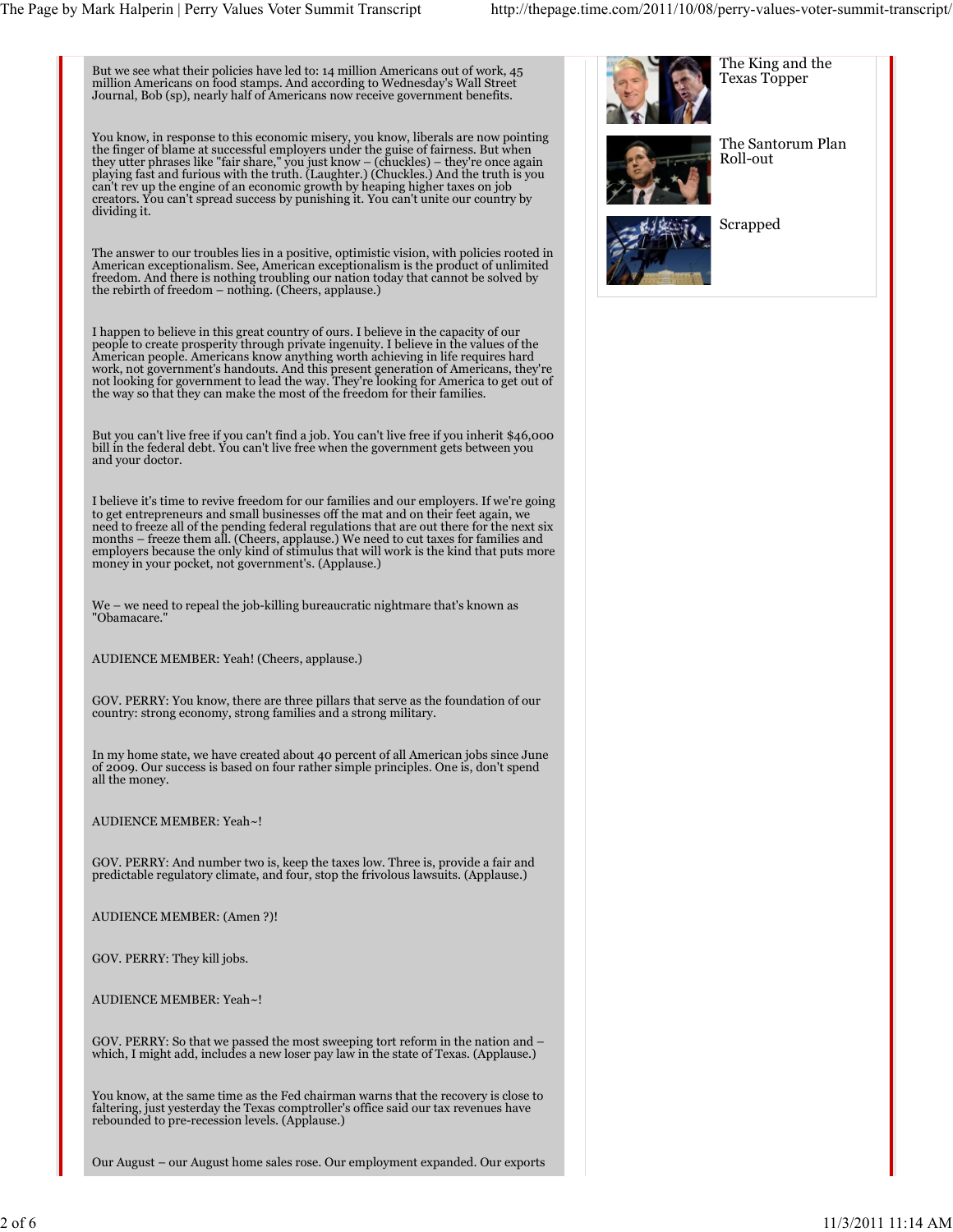But we see what their policies have led to: 14 million Americans out of work, 45 million Americans on food stamps. And according to Wednesday's Wall Street Journal, Bob (sp), nearly half of Americans now receive government benefits.

You know, in response to this economic misery, you know, liberals are now pointing<br>the finger of blame at successful employers under the guise of fairness. But when<br>they utter phrases like "fair share," you just know – (ch can't rev up the engine of an economic growth by heaping higher taxes on job creators. You can't spread success by punishing it. You can't unite our country by dividing it.

The answer to our troubles lies in a positive, optimistic vision, with policies rooted in American exceptionalism. See, American exceptionalism is the product of unlimited freedom. And there is nothing troubling our nation today that cannot be solved by the rebirth of freedom – nothing. (Cheers, applause.)

I happen to believe in this great country of ours. I believe in the capacity of our people to create prosperity through private ingenuity. I believe in the values of the American people. Americans know anything worth achieving in life requires hard work, not government's handouts. And this present generation of Americans, they're not looking for government to lead the way. They're looking for America to get out of the way so that they can make the most of the freedom for their families.

But you can't live free if you can't find a job. You can't live free if you inherit \$46,000 bill in the federal debt. You can't live free when the government gets between you and your doctor.

I believe it's time to revive freedom for our families and our employers. If we're going to get entrepreneurs and small businesses off the mat and on their feet again, we need to freeze all of the pending federal regulations that are out there for the next six<br>months – freeze them all. (Cheers, applause.) We need to cut taxes for families and<br>employers because the only kind of stimulus that money in your pocket, not government's. (Applause.)

We – we need to repeal the job-killing bureaucratic nightmare that's known as "Obamacare."

AUDIENCE MEMBER: Yeah! (Cheers, applause.)

GOV. PERRY: You know, there are three pillars that serve as the foundation of our country: strong economy, strong families and a strong military.

In my home state, we have created about 40 percent of all American jobs since June of 2009. Our success is based on four rather simple principles. One is, don't spend all the money.

AUDIENCE MEMBER: Yeah~!

GOV. PERRY: And number two is, keep the taxes low. Three is, provide a fair and predictable regulatory climate, and four, stop the frivolous lawsuits. (Applause.)

AUDIENCE MEMBER: (Amen ?)!

GOV. PERRY: They kill jobs.

AUDIENCE MEMBER: Yeah~!

GOV. PERRY: So that we passed the most sweeping tort reform in the nation and – which, I might add, includes a new loser pay law in the state of Texas. (Applause.)

You know, at the same time as the Fed chairman warns that the recovery is close to faltering, just yesterday the Texas comptroller's office said our tax revenues have rebounded to pre-recession levels. (Applause.)

Our August – our August home sales rose. Our employment expanded. Our exports

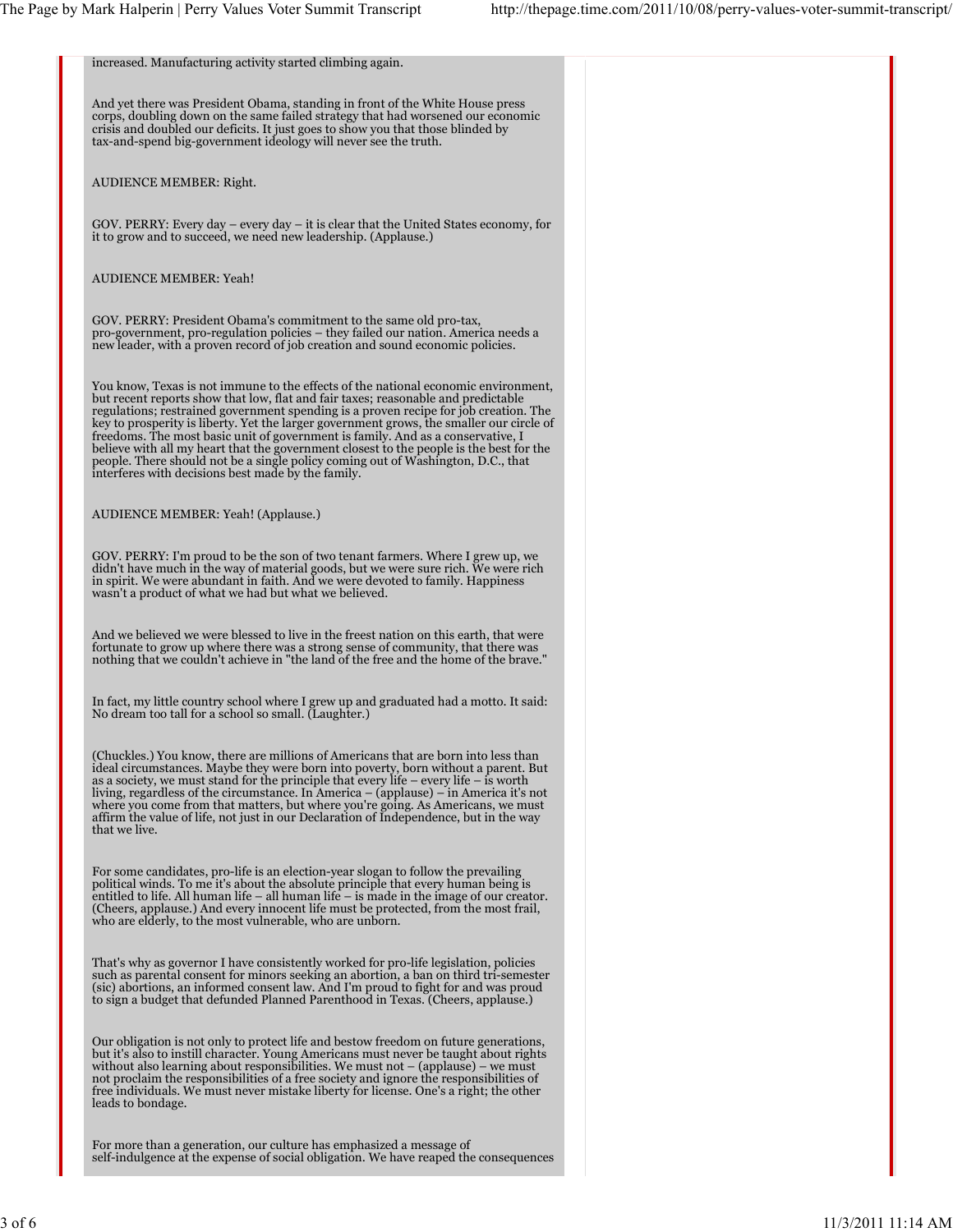| increased. Manufacturing activity started climbing again.                                                                                                                                                                                                                                                                                                                                                                                                                                                                                                                                                                                                                           |  |
|-------------------------------------------------------------------------------------------------------------------------------------------------------------------------------------------------------------------------------------------------------------------------------------------------------------------------------------------------------------------------------------------------------------------------------------------------------------------------------------------------------------------------------------------------------------------------------------------------------------------------------------------------------------------------------------|--|
| And yet there was President Obama, standing in front of the White House press<br>corps, doubling down on the same failed strategy that had worsened our economic<br>crisis and doubled our deficits. It just goes to show you that those blinded by<br>tax-and-spend big-government ideology will never see the truth.                                                                                                                                                                                                                                                                                                                                                              |  |
| AUDIENCE MEMBER: Right.                                                                                                                                                                                                                                                                                                                                                                                                                                                                                                                                                                                                                                                             |  |
| GOV. PERRY: Every day $-$ every day $-$ it is clear that the United States economy, for<br>it to grow and to succeed, we need new leadership. (Applause.)                                                                                                                                                                                                                                                                                                                                                                                                                                                                                                                           |  |
| <b>AUDIENCE MEMBER: Yeah!</b>                                                                                                                                                                                                                                                                                                                                                                                                                                                                                                                                                                                                                                                       |  |
| GOV. PERRY: President Obama's commitment to the same old pro-tax,<br>pro-government, pro-regulation policies – they failed our nation. America needs a<br>new leader, with a proven record of job creation and sound economic policies.                                                                                                                                                                                                                                                                                                                                                                                                                                             |  |
| You know, Texas is not immune to the effects of the national economic environment,<br>but recent reports show that low, flat and fair taxes; reasonable and predictable<br>regulations; restrained government spending is a proven recipe for job creation. The<br>key to prosperity is liberty. Yet the larger government grows, the smaller our circle of<br>freedoms. The most basic unit of government is family. And as a conservative, I<br>believe with all my heart that the government closest to the people is the best for the<br>people. There should not be a single policy coming out of Washington, D.C., that<br>interferes with decisions best made by the family. |  |
| AUDIENCE MEMBER: Yeah! (Applause.)                                                                                                                                                                                                                                                                                                                                                                                                                                                                                                                                                                                                                                                  |  |
| GOV. PERRY: I'm proud to be the son of two tenant farmers. Where I grew up, we<br>didn't have much in the way of material goods, but we were sure rich. We were rich<br>in spirit. We were abundant in faith. And we were devoted to family. Happiness<br>wasn't a product of what we had but what we believed.                                                                                                                                                                                                                                                                                                                                                                     |  |
| And we believed we were blessed to live in the freest nation on this earth, that were<br>fortunate to grow up where there was a strong sense of community, that there was<br>nothing that we couldn't achieve in "the land of the free and the home of the brave."                                                                                                                                                                                                                                                                                                                                                                                                                  |  |
| In fact, my little country school where I grew up and graduated had a motto. It said:<br>No dream too tall for a school so small. (Laughter.)                                                                                                                                                                                                                                                                                                                                                                                                                                                                                                                                       |  |
| (Chuckles.) You know, there are millions of Americans that are born into less than<br>ideal circumstances. Maybe they were born into poverty, born without a parent. But<br>as a society, we must stand for the principle that every life $-$ every life $-$ is worth<br>living, regardless of the circumstance. In America – (applause) – in America it's not<br>where you come from that matters, but where you're going. As Americans, we must<br>affirm the value of life, not just in our Declaration of Independence, but in the way<br>that we live.                                                                                                                         |  |
| For some candidates, pro-life is an election-year slogan to follow the prevailing<br>political winds. To me it's about the absolute principle that every human being is<br>entitled to life. All human life $-$ all human life $-$ is made in the image of our creator.<br>(Cheers, applause.) And every innocent life must be protected, from the most frail,<br>who are elderly, to the most vulnerable, who are unborn.                                                                                                                                                                                                                                                          |  |
| That's why as governor I have consistently worked for pro-life legislation, policies<br>such as parental consent for minors seeking an abortion, a ban on third tri-semester<br>(sic) abortions, an informed consent law. And I'm proud to fight for and was proud<br>to sign a budget that defunded Planned Parenthood in Texas. (Cheers, applause.)                                                                                                                                                                                                                                                                                                                               |  |
| Our obligation is not only to protect life and bestow freedom on future generations,<br>but it's also to instill character. Young Americans must never be taught about rights<br>without also learning about responsibilities. We must not $-$ (applause) $-$ we must<br>not proclaim the responsibilities of a free society and ignore the responsibilities of<br>free individuals. We must never mistake liberty for license. One's a right; the other<br>leads to bondage.                                                                                                                                                                                                       |  |
| For more than a generation, our culture has emphasized a message of<br>self-indulgence at the expense of social obligation. We have reaped the consequences                                                                                                                                                                                                                                                                                                                                                                                                                                                                                                                         |  |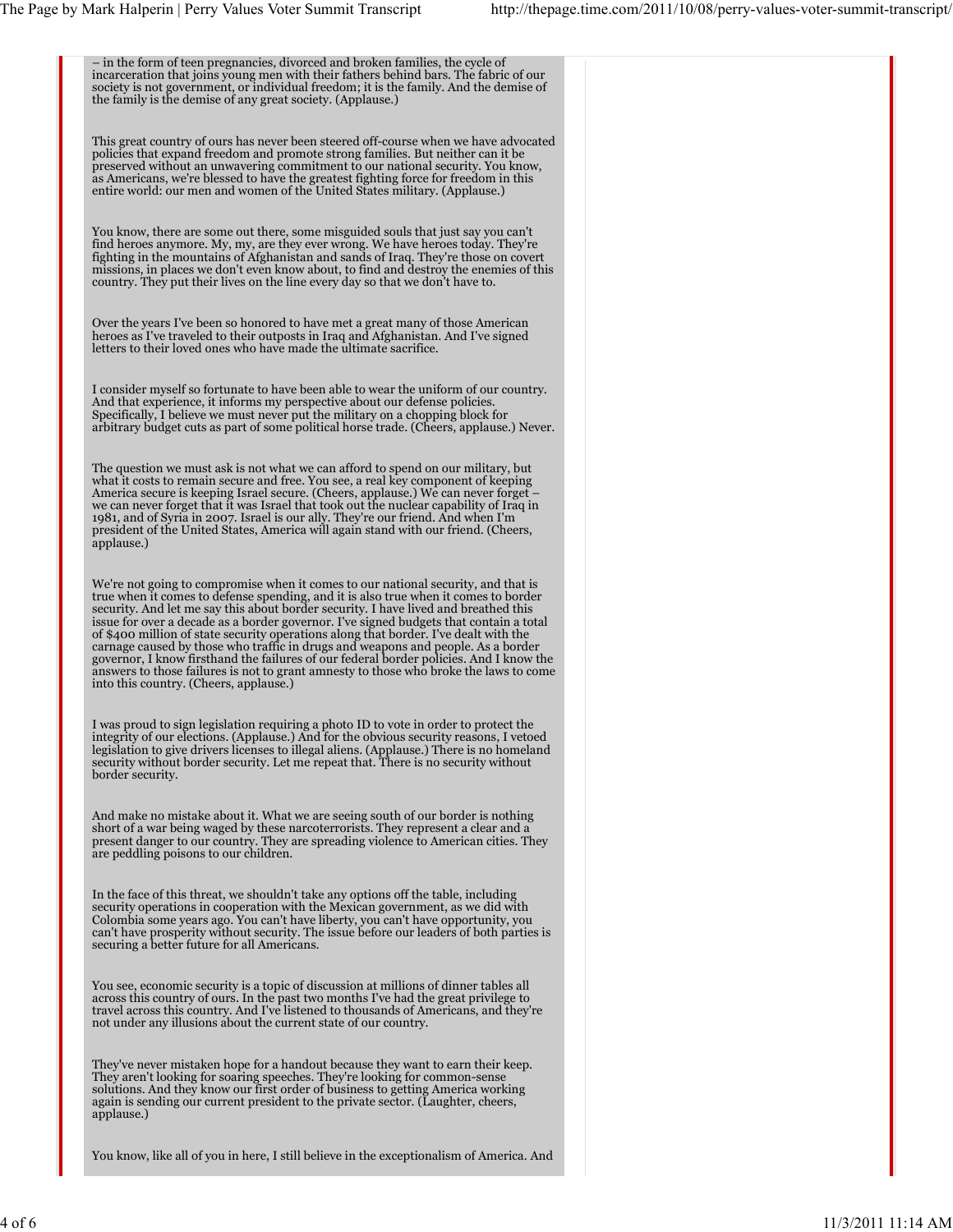– in the form of teen pregnancies, divorced and broken families, the cycle of incarceration that joins young men with their fathers behind bars. The fabric of our society is not government, or individual freedom; it is the family. And the demise of the family is the demise of any great society. (Applause.) This great country of ours has never been steered off-course when we have advocated policies that expand freedom and promote strong families. But neither can it be preserved without an unwavering commitment to our national security. You know,<br>as Americans, we're blessed to have the greatest fighting force for freedom in this<br>entire world: our men and women of the United States milita You know, there are some out there, some misguided souls that just say you can't find heroes anymore. My, my, are they ever wrong. We have heroes today. They're fighting in the mountains of Afghanistan and sands of Iraq. They're those on covert missions, in places we don't even know about, to find and destroy the enemies of this country. They put their lives on the line every day so that we don't have to. Over the years I've been so honored to have met a great many of those American heroes as I've traveled to their outposts in Iraq and Afghanistan. And I've signed letters to their loved ones who have made the ultimate sacrifice. I consider myself so fortunate to have been able to wear the uniform of our country. And that experience, it informs my perspective about our defense policies. Specifically, I believe we must never put the military on a chopping block for arbitrary budget cuts as part of some political horse trade. (Cheers, applause.) Never. The question we must ask is not what we can afford to spend on our military, but what it costs to remain secure and free. You see, a real key component of keeping America secure is keeping Israel secure. (Cheers, applause.) We can never forget –<br>we can never forget that it was Israel that took out the nuclear capability of Iraq in<br>1981, and of Syria in 2007. Israel is our ally. They applause.) We're not going to compromise when it comes to our national security, and that is<br>true when it comes to defense spending, and it is also true when it comes to border<br>security. And let me say this about border security. I h issue for over a decade as a border governor. I've signed budgets that contain a total<br>of \$400 million of state security operations along that border. I've dealt with the<br>carnage caused by those who traffic in drugs and we answers to those failures is not to grant amnesty to those who broke the laws to come into this country. (Cheers, applause.) I was proud to sign legislation requiring a photo ID to vote in order to protect the integrity of our elections. (Applause.) And for the obvious security reasons, I vetoed legislation to give drivers licenses to illegal aliens. (Applause.) There is no homeland security without border security. Let me repeat that. There is no security without border security. And make no mistake about it. What we are seeing south of our border is nothing short of a war being waged by these narcoterrorists. They represent a clear and a present danger to our country. They are spreading violence to American cities. They are peddling poisons to our children. In the face of this threat, we shouldn't take any options off the table, including security operations in cooperation with the Mexican government, as we did with Colombia some years ago. You can't have liberty, you can't have opportunity, you can't have prosperity without security. The issue before our leaders of both parties is securing a better future for all Americans. You see, economic security is a topic of discussion at millions of dinner tables all across this country of ours. In the past two months I've had the great privilege to<br>travel across this country. And I've listened to thousands of Americans, and they're<br>not under any illusions about the current state of ou They've never mistaken hope for a handout because they want to earn their keep. They aren't looking for soaring speeches. They're looking for common-sense solutions. And they know our first order of business to getting America working again is sending our current president to the private sector. (Laughter, cheers, applause.)

You know, like all of you in here, I still believe in the exceptionalism of America. And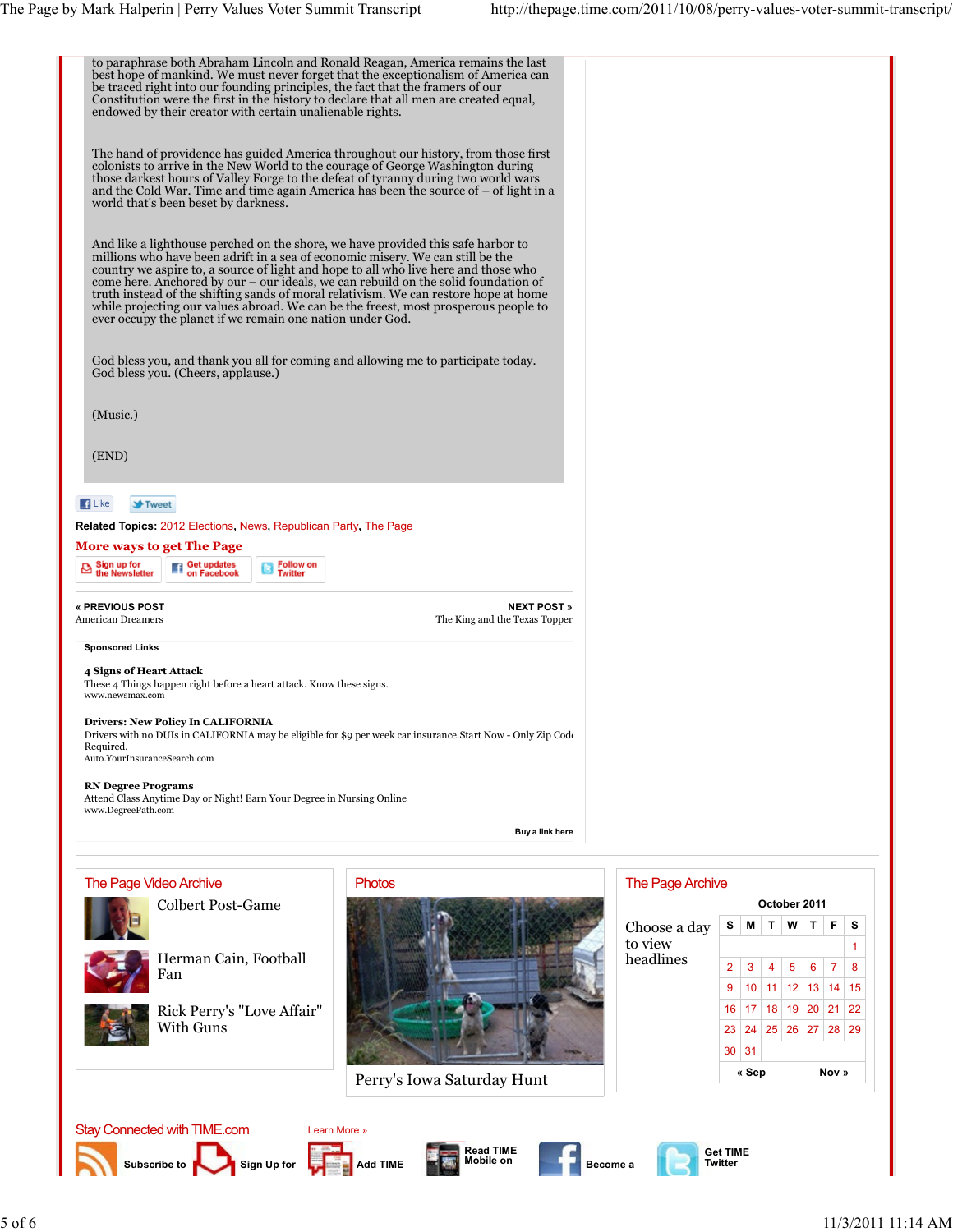